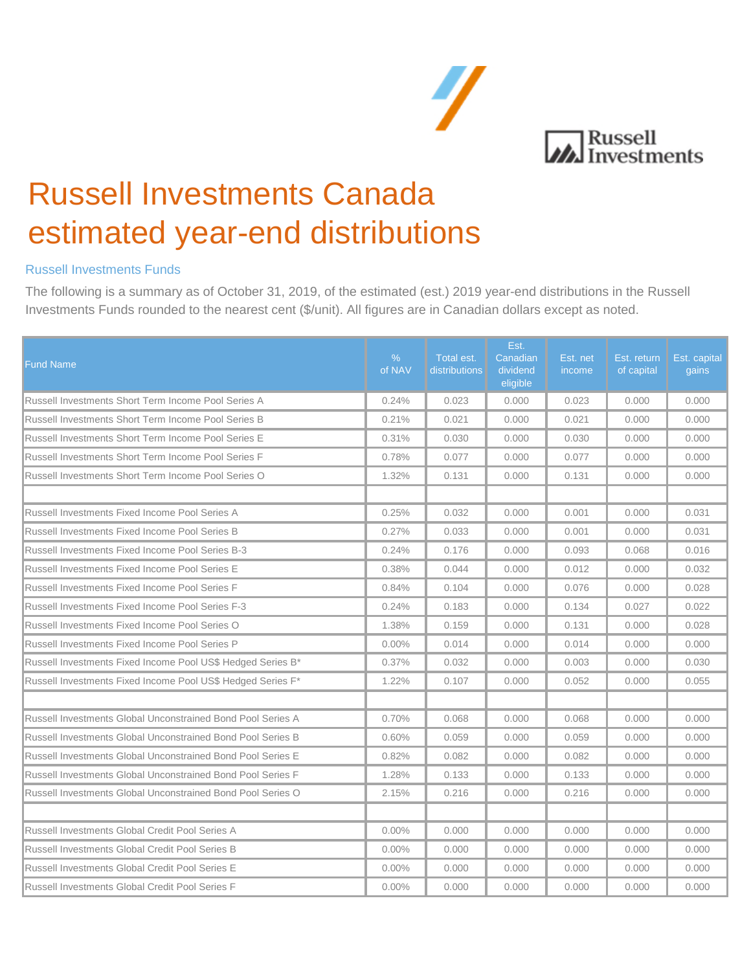

# Russell Investments Canada estimated year-end distributions

# Russell Investments Funds

 The following is a summary as of October 31, 2019, of the estimated (est.) 2019 year-end distributions in the Russell Investments Funds rounded to the nearest cent (\$/unit). All figures are in Canadian dollars except as noted.

| <b>Fund Name</b>                                            | $\%$<br>of NAV | Total est.<br>distributions | Est.<br>Canadian<br>dividend<br>eligible | Est. net<br>income | Est. return<br>of capital | Est. capital<br>gains |
|-------------------------------------------------------------|----------------|-----------------------------|------------------------------------------|--------------------|---------------------------|-----------------------|
| Russell Investments Short Term Income Pool Series A         | 0.24%          | 0.023                       | 0.000                                    | 0.023              | 0.000                     | 0.000                 |
| Russell Investments Short Term Income Pool Series B         | 0.21%          | 0.021                       | 0.000                                    | 0.021              | 0.000                     | 0.000                 |
| Russell Investments Short Term Income Pool Series E         | 0.31%          | 0.030                       | 0.000                                    | 0.030              | 0.000                     | 0.000                 |
| Russell Investments Short Term Income Pool Series F         | 0.78%          | 0.077                       | 0.000                                    | 0.077              | 0.000                     | 0.000                 |
| Russell Investments Short Term Income Pool Series O         | 1.32%          | 0.131                       | 0.000                                    | 0.131              | 0.000                     | 0.000                 |
| Russell Investments Fixed Income Pool Series A              | 0.25%          | 0.032                       | 0.000                                    | 0.001              | 0.000                     | 0.031                 |
| Russell Investments Fixed Income Pool Series B              | 0.27%          | 0.033                       | 0.000                                    | 0.001              | 0.000                     | 0.031                 |
| Russell Investments Fixed Income Pool Series B-3            | 0.24%          | 0.176                       | 0.000                                    | 0.093              | 0.068                     | 0.016                 |
| Russell Investments Fixed Income Pool Series E              | 0.38%          | 0.044                       | 0.000                                    | 0.012              | 0.000                     | 0.032                 |
| Russell Investments Fixed Income Pool Series F              | 0.84%          | 0.104                       | 0.000                                    | 0.076              | 0.000                     | 0.028                 |
| <b>Russell Investments Fixed Income Pool Series F-3</b>     | 0.24%          | 0.183                       | 0.000                                    | 0.134              | 0.027                     | 0.022                 |
| Russell Investments Fixed Income Pool Series O              | 1.38%          | 0.159                       | 0.000                                    | 0.131              | 0.000                     | 0.028                 |
| Russell Investments Fixed Income Pool Series P              | $0.00\%$       | 0.014                       | 0.000                                    | 0.014              | 0.000                     | 0.000                 |
| Russell Investments Fixed Income Pool US\$ Hedged Series B* | 0.37%          | 0.032                       | 0.000                                    | 0.003              | 0.000                     | 0.030                 |
| Russell Investments Fixed Income Pool US\$ Hedged Series F* | 1.22%          | 0.107                       | 0.000                                    | 0.052              | 0.000                     | 0.055                 |
|                                                             |                |                             |                                          |                    |                           |                       |
| Russell Investments Global Unconstrained Bond Pool Series A | 0.70%          | 0.068                       | 0.000                                    | 0.068              | 0.000                     | 0.000                 |
| Russell Investments Global Unconstrained Bond Pool Series B | 0.60%          | 0.059                       | 0.000                                    | 0.059              | 0.000                     | 0.000                 |
| Russell Investments Global Unconstrained Bond Pool Series E | 0.82%          | 0.082                       | 0.000                                    | 0.082              | 0.000                     | 0.000                 |
| Russell Investments Global Unconstrained Bond Pool Series F | 1.28%          | 0.133                       | 0.000                                    | 0.133              | 0.000                     | 0.000                 |
| Russell Investments Global Unconstrained Bond Pool Series O | 2.15%          | 0.216                       | 0.000                                    | 0.216              | 0.000                     | 0.000                 |
| Russell Investments Global Credit Pool Series A             | $0.00\%$       | 0.000                       | 0.000                                    | 0.000              | 0.000                     | 0.000                 |
| Russell Investments Global Credit Pool Series B             | $0.00\%$       | 0.000                       | 0.000                                    | 0.000              | 0.000                     | 0.000                 |
| Russell Investments Global Credit Pool Series E             | $0.00\%$       | 0.000                       | 0.000                                    | 0.000              | 0.000                     | 0.000                 |
| Russell Investments Global Credit Pool Series F             | $0.00\%$       | 0.000                       | 0.000                                    | 0.000              | 0.000                     | 0.000                 |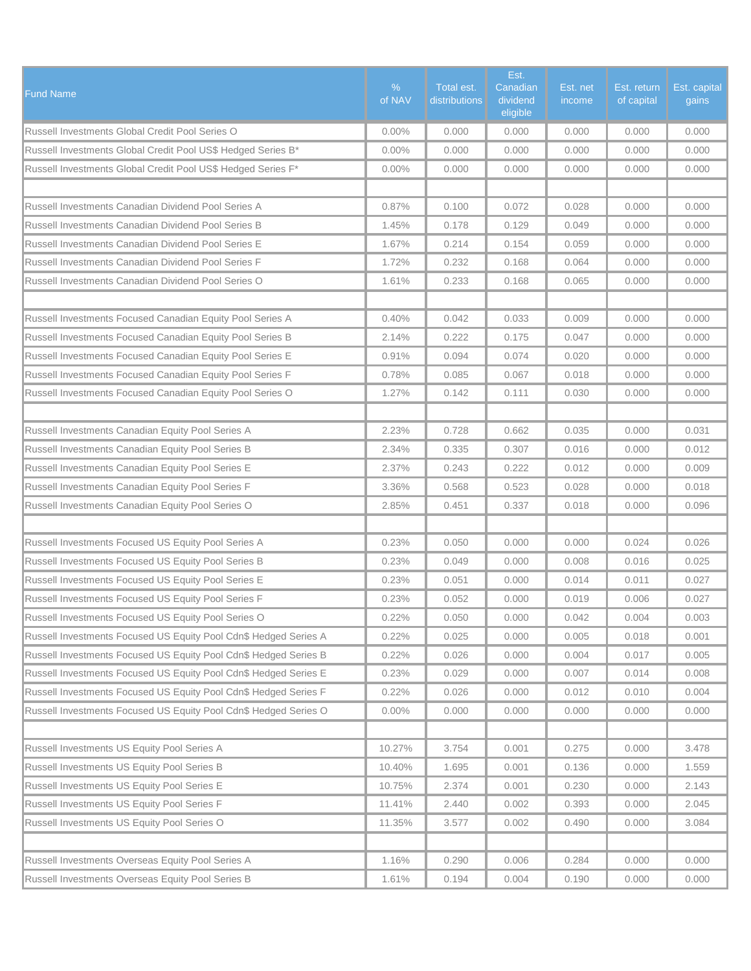| <b>Fund Name</b>                                                 | %<br>of NAV | Total est.<br>distributions | Est.<br>Canadian<br>dividend<br>eligible | Est. net<br>income | Est. return<br>of capital | Est. capital<br>gains |
|------------------------------------------------------------------|-------------|-----------------------------|------------------------------------------|--------------------|---------------------------|-----------------------|
| Russell Investments Global Credit Pool Series O                  | $0.00\%$    | 0.000                       | 0.000                                    | 0.000              | 0.000                     | 0.000                 |
| Russell Investments Global Credit Pool US\$ Hedged Series B*     | $0.00\%$    | 0.000                       | 0.000                                    | 0.000              | 0.000                     | 0.000                 |
| Russell Investments Global Credit Pool US\$ Hedged Series F*     | $0.00\%$    | 0.000                       | 0.000                                    | 0.000              | 0.000                     | 0.000                 |
|                                                                  |             |                             |                                          |                    |                           |                       |
| Russell Investments Canadian Dividend Pool Series A              | 0.87%       | 0.100                       | 0.072                                    | 0.028              | 0.000                     | 0.000                 |
| Russell Investments Canadian Dividend Pool Series B              | 1.45%       | 0.178                       | 0.129                                    | 0.049              | 0.000                     | 0.000                 |
| Russell Investments Canadian Dividend Pool Series E              | 1.67%       | 0.214                       | 0.154                                    | 0.059              | 0.000                     | 0.000                 |
| Russell Investments Canadian Dividend Pool Series F              | 1.72%       | 0.232                       | 0.168                                    | 0.064              | 0.000                     | 0.000                 |
| Russell Investments Canadian Dividend Pool Series O              | 1.61%       | 0.233                       | 0.168                                    | 0.065              | 0.000                     | 0.000                 |
|                                                                  |             |                             |                                          |                    |                           |                       |
| Russell Investments Focused Canadian Equity Pool Series A        | 0.40%       | 0.042                       | 0.033                                    | 0.009              | 0.000                     | 0.000                 |
| Russell Investments Focused Canadian Equity Pool Series B        | 2.14%       | 0.222                       | 0.175                                    | 0.047              | 0.000                     | 0.000                 |
| Russell Investments Focused Canadian Equity Pool Series E        | 0.91%       | 0.094                       | 0.074                                    | 0.020              | 0.000                     | 0.000                 |
| Russell Investments Focused Canadian Equity Pool Series F        | 0.78%       | 0.085                       | 0.067                                    | 0.018              | 0.000                     | 0.000                 |
| Russell Investments Focused Canadian Equity Pool Series O        | 1.27%       | 0.142                       | 0.111                                    | 0.030              | 0.000                     | 0.000                 |
|                                                                  |             |                             |                                          |                    |                           |                       |
| Russell Investments Canadian Equity Pool Series A                | 2.23%       | 0.728                       | 0.662                                    | 0.035              | 0.000                     | 0.031                 |
| Russell Investments Canadian Equity Pool Series B                | 2.34%       | 0.335                       | 0.307                                    | 0.016              | 0.000                     | 0.012                 |
| Russell Investments Canadian Equity Pool Series E                | 2.37%       | 0.243                       | 0.222                                    | 0.012              | 0.000                     | 0.009                 |
| Russell Investments Canadian Equity Pool Series F                | 3.36%       | 0.568                       | 0.523                                    | 0.028              | 0.000                     | 0.018                 |
| Russell Investments Canadian Equity Pool Series O                | 2.85%       | 0.451                       | 0.337                                    | 0.018              | 0.000                     | 0.096                 |
|                                                                  |             |                             |                                          |                    |                           |                       |
| Russell Investments Focused US Equity Pool Series A              | 0.23%       | 0.050                       | 0.000                                    | 0.000              | 0.024                     | 0.026                 |
| Russell Investments Focused US Equity Pool Series B              | 0.23%       | 0.049                       | 0.000                                    | 0.008              | 0.016                     | 0.025                 |
| Russell Investments Focused US Equity Pool Series E              | 0.23%       | 0.051                       | 0.000                                    | 0.014              | 0.011                     | 0.027                 |
| Russell Investments Focused US Equity Pool Series F              | 0.23%       | 0.052                       | 0.000                                    | 0.019              | 0.006                     | 0.027                 |
| Russell Investments Focused US Equity Pool Series O              | 0.22%       | 0.050                       | 0.000                                    | 0.042              | 0.004                     | 0.003                 |
| Russell Investments Focused US Equity Pool Cdn\$ Hedged Series A | 0.22%       | 0.025                       | 0.000                                    | 0.005              | 0.018                     | 0.001                 |
| Russell Investments Focused US Equity Pool Cdn\$ Hedged Series B | 0.22%       | 0.026                       | 0.000                                    | 0.004              | 0.017                     | 0.005                 |
| Russell Investments Focused US Equity Pool Cdn\$ Hedged Series E | 0.23%       | 0.029                       | 0.000                                    | 0.007              | 0.014                     | 0.008                 |
| Russell Investments Focused US Equity Pool Cdn\$ Hedged Series F | 0.22%       | 0.026                       | 0.000                                    | 0.012              | 0.010                     | 0.004                 |
| Russell Investments Focused US Equity Pool Cdn\$ Hedged Series O | $0.00\%$    | 0.000                       | 0.000                                    | 0.000              | 0.000                     | 0.000                 |
|                                                                  |             |                             |                                          |                    |                           |                       |
| Russell Investments US Equity Pool Series A                      | 10.27%      | 3.754                       | 0.001                                    | 0.275              | 0.000                     | 3.478                 |
| Russell Investments US Equity Pool Series B                      | 10.40%      | 1.695                       | 0.001                                    | 0.136              | 0.000                     | 1.559                 |
| Russell Investments US Equity Pool Series E                      | 10.75%      | 2.374                       | 0.001                                    | 0.230              | 0.000                     | 2.143                 |
| Russell Investments US Equity Pool Series F                      | 11.41%      | 2.440                       | 0.002                                    | 0.393              | 0.000                     | 2.045                 |
| Russell Investments US Equity Pool Series O                      | 11.35%      | 3.577                       | 0.002                                    | 0.490              | 0.000                     | 3.084                 |
|                                                                  |             |                             |                                          |                    |                           |                       |
| Russell Investments Overseas Equity Pool Series A                | 1.16%       | 0.290                       | 0.006                                    | 0.284              | 0.000                     | 0.000                 |
| Russell Investments Overseas Equity Pool Series B                | 1.61%       | 0.194                       | 0.004                                    | 0.190              | 0.000                     | 0.000                 |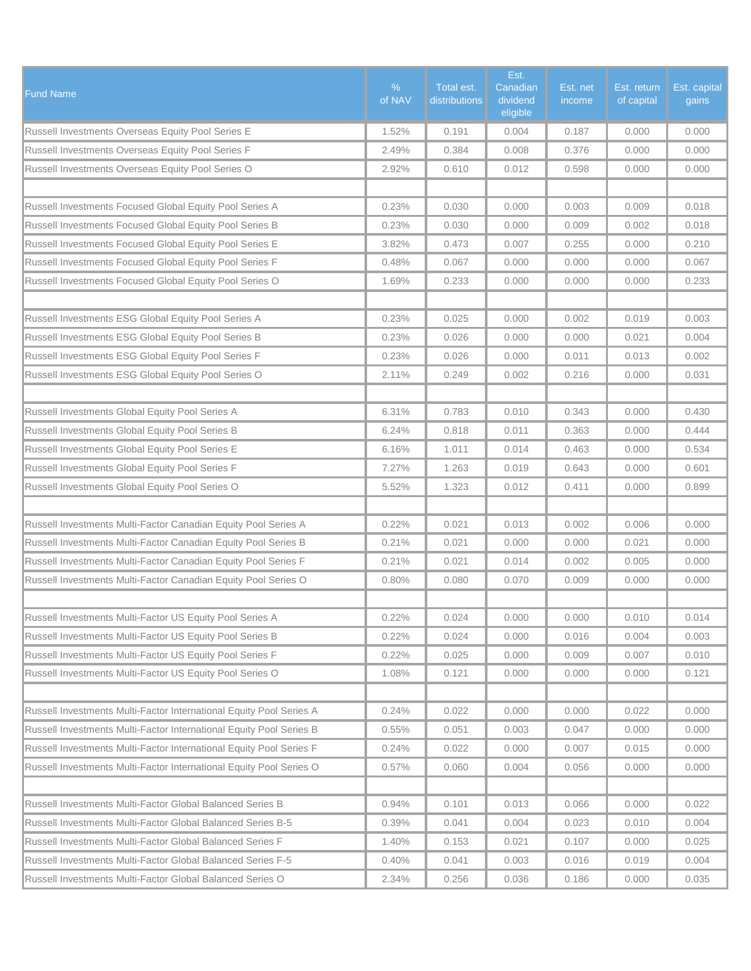| <b>Fund Name</b>                                                    | $\%$<br>of NAV | Total est.<br>distributions | Est.<br>Canadian<br>dividend<br>eligible | Est. net<br>income | Est. return<br>of capital | Est. capital<br>gains |
|---------------------------------------------------------------------|----------------|-----------------------------|------------------------------------------|--------------------|---------------------------|-----------------------|
| Russell Investments Overseas Equity Pool Series E                   | 1.52%          | 0.191                       | 0.004                                    | 0.187              | 0.000                     | 0.000                 |
| Russell Investments Overseas Equity Pool Series F                   | 2.49%          | 0.384                       | 0.008                                    | 0.376              | 0.000                     | 0.000                 |
| Russell Investments Overseas Equity Pool Series O                   | 2.92%          | 0.610                       | 0.012                                    | 0.598              | 0.000                     | 0.000                 |
|                                                                     |                |                             |                                          |                    |                           |                       |
| Russell Investments Focused Global Equity Pool Series A             | 0.23%          | 0.030                       | 0.000                                    | 0.003              | 0.009                     | 0.018                 |
| Russell Investments Focused Global Equity Pool Series B             | 0.23%          | 0.030                       | 0.000                                    | 0.009              | 0.002                     | 0.018                 |
| Russell Investments Focused Global Equity Pool Series E             | 3.82%          | 0.473                       | 0.007                                    | 0.255              | 0.000                     | 0.210                 |
| Russell Investments Focused Global Equity Pool Series F             | 0.48%          | 0.067                       | 0.000                                    | 0.000              | 0.000                     | 0.067                 |
| Russell Investments Focused Global Equity Pool Series O             | 1.69%          | 0.233                       | 0.000                                    | 0.000              | 0.000                     | 0.233                 |
|                                                                     |                |                             |                                          |                    |                           |                       |
| Russell Investments ESG Global Equity Pool Series A                 | 0.23%          | 0.025                       | 0.000                                    | 0.002              | 0.019                     | 0.003                 |
| Russell Investments ESG Global Equity Pool Series B                 | 0.23%          | 0.026                       | 0.000                                    | 0.000              | 0.021                     | 0.004                 |
| Russell Investments ESG Global Equity Pool Series F                 | 0.23%          | 0.026                       | 0.000                                    | 0.011              | 0.013                     | 0.002                 |
| Russell Investments ESG Global Equity Pool Series O                 | 2.11%          | 0.249                       | 0.002                                    | 0.216              | 0.000                     | 0.031                 |
|                                                                     |                |                             |                                          |                    |                           |                       |
| Russell Investments Global Equity Pool Series A                     | 6.31%          | 0.783                       | 0.010                                    | 0.343              | 0.000                     | 0.430                 |
| Russell Investments Global Equity Pool Series B                     | 6.24%          | 0.818                       | 0.011                                    | 0.363              | 0.000                     | 0.444                 |
| Russell Investments Global Equity Pool Series E                     | 6.16%          | 1.011                       | 0.014                                    | 0.463              | 0.000                     | 0.534                 |
| Russell Investments Global Equity Pool Series F                     | 7.27%          | 1.263                       | 0.019                                    | 0.643              | 0.000                     | 0.601                 |
| Russell Investments Global Equity Pool Series O                     | 5.52%          | 1.323                       | 0.012                                    | 0.411              | 0.000                     | 0.899                 |
|                                                                     |                |                             |                                          |                    |                           |                       |
| Russell Investments Multi-Factor Canadian Equity Pool Series A      | 0.22%          | 0.021                       | 0.013                                    | 0.002              | 0.006                     | 0.000                 |
| Russell Investments Multi-Factor Canadian Equity Pool Series B      | 0.21%          | 0.021                       | 0.000                                    | 0.000              | 0.021                     | 0.000                 |
| Russell Investments Multi-Factor Canadian Equity Pool Series F      | 0.21%          | 0.021                       | 0.014                                    | 0.002              | 0.005                     | 0.000                 |
| Russell Investments Multi-Factor Canadian Equity Pool Series O      | 0.80%          | 0.080                       | 0.070                                    | 0.009              | 0.000                     | 0.000                 |
|                                                                     |                |                             |                                          |                    |                           |                       |
| Russell Investments Multi-Factor US Equity Pool Series A            | 0.22%          | 0.024                       | 0.000                                    | 0.000              | 0.010                     | 0.014                 |
| Russell Investments Multi-Factor US Equity Pool Series B            | 0.22%          | 0.024                       | 0.000                                    | 0.016              | 0.004                     | 0.003                 |
| Russell Investments Multi-Factor US Equity Pool Series F            | 0.22%          | 0.025                       | 0.000                                    | 0.009              | 0.007                     | 0.010                 |
| Russell Investments Multi-Factor US Equity Pool Series O            | 1.08%          | 0.121                       | 0.000                                    | 0.000              | 0.000                     | 0.121                 |
|                                                                     |                |                             |                                          |                    |                           |                       |
| Russell Investments Multi-Factor International Equity Pool Series A | 0.24%          | 0.022                       | 0.000                                    | 0.000              | 0.022                     | 0.000                 |
| Russell Investments Multi-Factor International Equity Pool Series B | 0.55%          | 0.051                       | 0.003                                    | 0.047              | 0.000                     | 0.000                 |
| Russell Investments Multi-Factor International Equity Pool Series F | 0.24%          | 0.022                       | 0.000                                    | 0.007              | 0.015                     | 0.000                 |
| Russell Investments Multi-Factor International Equity Pool Series O | 0.57%          | 0.060                       | 0.004                                    | 0.056              | 0.000                     | 0.000                 |
|                                                                     |                |                             |                                          |                    |                           |                       |
| Russell Investments Multi-Factor Global Balanced Series B           | 0.94%          | 0.101                       | 0.013                                    | 0.066              | 0.000                     | 0.022                 |
| Russell Investments Multi-Factor Global Balanced Series B-5         | 0.39%          | 0.041                       | 0.004                                    | 0.023              | 0.010                     | 0.004                 |
| Russell Investments Multi-Factor Global Balanced Series F           | 1.40%          | 0.153                       | 0.021                                    | 0.107              | 0.000                     | 0.025                 |
| Russell Investments Multi-Factor Global Balanced Series F-5         | 0.40%          | 0.041                       | 0.003                                    | 0.016              | 0.019                     | 0.004                 |
| Russell Investments Multi-Factor Global Balanced Series O           | 2.34%          | 0.256                       | 0.036                                    | 0.186              | 0.000                     | 0.035                 |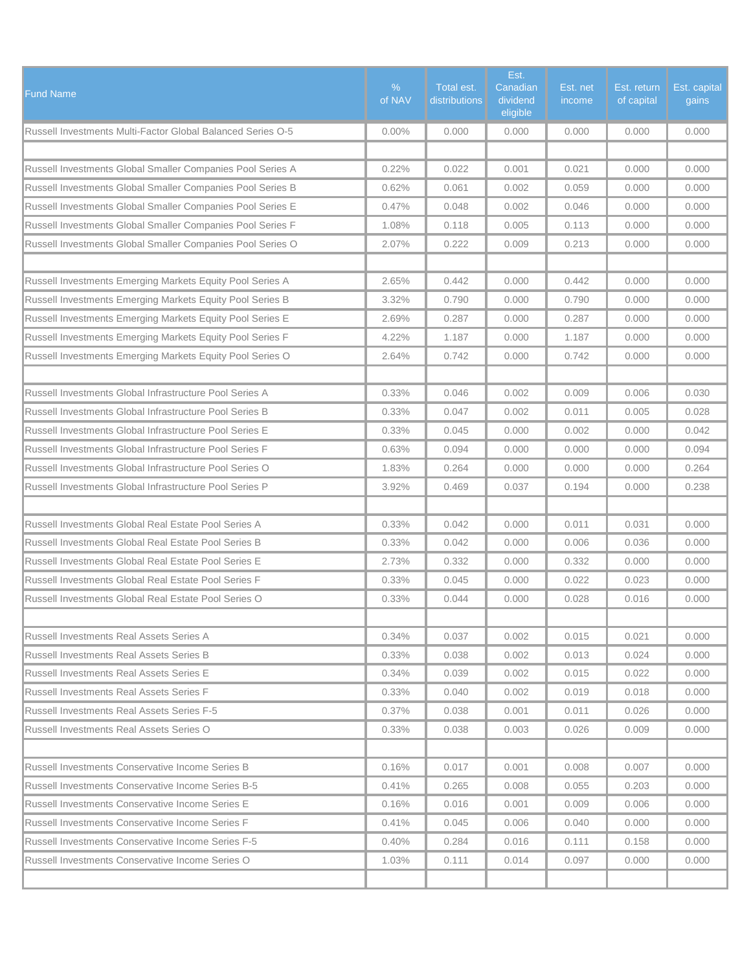| <b>Fund Name</b>                                            | $\%$<br>of NAV | Total est.<br>distributions | Est.<br>Canadian<br>dividend<br>eligible | Est. net<br>income | Est. return<br>of capital | Est. capital<br>gains |
|-------------------------------------------------------------|----------------|-----------------------------|------------------------------------------|--------------------|---------------------------|-----------------------|
| Russell Investments Multi-Factor Global Balanced Series O-5 | $0.00\%$       | 0.000                       | 0.000                                    | 0.000              | 0.000                     | 0.000                 |
|                                                             |                |                             |                                          |                    |                           |                       |
| Russell Investments Global Smaller Companies Pool Series A  | 0.22%          | 0.022                       | 0.001                                    | 0.021              | 0.000                     | 0.000                 |
| Russell Investments Global Smaller Companies Pool Series B  | 0.62%          | 0.061                       | 0.002                                    | 0.059              | 0.000                     | 0.000                 |
| Russell Investments Global Smaller Companies Pool Series E  | 0.47%          | 0.048                       | 0.002                                    | 0.046              | 0.000                     | 0.000                 |
| Russell Investments Global Smaller Companies Pool Series F  | 1.08%          | 0.118                       | 0.005                                    | 0.113              | 0.000                     | 0.000                 |
| Russell Investments Global Smaller Companies Pool Series O  | 2.07%          | 0.222                       | 0.009                                    | 0.213              | 0.000                     | 0.000                 |
|                                                             |                |                             |                                          |                    |                           |                       |
| Russell Investments Emerging Markets Equity Pool Series A   | 2.65%          | 0.442                       | 0.000                                    | 0.442              | 0.000                     | 0.000                 |
| Russell Investments Emerging Markets Equity Pool Series B   | 3.32%          | 0.790                       | 0.000                                    | 0.790              | 0.000                     | 0.000                 |
| Russell Investments Emerging Markets Equity Pool Series E   | 2.69%          | 0.287                       | 0.000                                    | 0.287              | 0.000                     | 0.000                 |
| Russell Investments Emerging Markets Equity Pool Series F   | 4.22%          | 1.187                       | 0.000                                    | 1.187              | 0.000                     | 0.000                 |
| Russell Investments Emerging Markets Equity Pool Series O   | 2.64%          | 0.742                       | 0.000                                    | 0.742              | 0.000                     | 0.000                 |
|                                                             |                |                             |                                          |                    |                           |                       |
| Russell Investments Global Infrastructure Pool Series A     | 0.33%          | 0.046                       | 0.002                                    | 0.009              | 0.006                     | 0.030                 |
| Russell Investments Global Infrastructure Pool Series B     | 0.33%          | 0.047                       | 0.002                                    | 0.011              | 0.005                     | 0.028                 |
| Russell Investments Global Infrastructure Pool Series E     | 0.33%          | 0.045                       | 0.000                                    | 0.002              | 0.000                     | 0.042                 |
| Russell Investments Global Infrastructure Pool Series F     | 0.63%          | 0.094                       | 0.000                                    | 0.000              | 0.000                     | 0.094                 |
| Russell Investments Global Infrastructure Pool Series O     | 1.83%          | 0.264                       | 0.000                                    | 0.000              | 0.000                     | 0.264                 |
| Russell Investments Global Infrastructure Pool Series P     | 3.92%          | 0.469                       | 0.037                                    | 0.194              | 0.000                     | 0.238                 |
|                                                             |                |                             |                                          |                    |                           |                       |
| Russell Investments Global Real Estate Pool Series A        | 0.33%          | 0.042                       | 0.000                                    | 0.011              | 0.031                     | 0.000                 |
| Russell Investments Global Real Estate Pool Series B        | 0.33%          | 0.042                       | 0.000                                    | 0.006              | 0.036                     | 0.000                 |
| Russell Investments Global Real Estate Pool Series E        | 2.73%          | 0.332                       | 0.000                                    | 0.332              | 0.000                     | 0.000                 |
| Russell Investments Global Real Estate Pool Series F        | 0.33%          | 0.045                       | 0.000                                    | 0.022              | 0.023                     | 0.000                 |
| Russell Investments Global Real Estate Pool Series O        | 0.33%          | 0.044                       | 0.000                                    | 0.028              | 0.016                     | 0.000                 |
|                                                             |                |                             |                                          |                    |                           |                       |
| Russell Investments Real Assets Series A                    | 0.34%          | 0.037                       | 0.002                                    | 0.015              | 0.021                     | 0.000                 |
| Russell Investments Real Assets Series B                    | 0.33%          | 0.038                       | 0.002                                    | 0.013              | 0.024                     | 0.000                 |
| Russell Investments Real Assets Series E                    | 0.34%          | 0.039                       | 0.002                                    | 0.015              | 0.022                     | 0.000                 |
| Russell Investments Real Assets Series F                    | 0.33%          | 0.040                       | 0.002                                    | 0.019              | 0.018                     | 0.000                 |
| Russell Investments Real Assets Series F-5                  | 0.37%          | 0.038                       | 0.001                                    | 0.011              | 0.026                     | 0.000                 |
| Russell Investments Real Assets Series O                    | 0.33%          | 0.038                       | 0.003                                    | 0.026              | 0.009                     | 0.000                 |
|                                                             |                |                             |                                          |                    |                           |                       |
| Russell Investments Conservative Income Series B            | 0.16%          | 0.017                       | 0.001                                    | 0.008              | 0.007                     | 0.000                 |
| Russell Investments Conservative Income Series B-5          | 0.41%          | 0.265                       | 0.008                                    | 0.055              | 0.203                     | 0.000                 |
| Russell Investments Conservative Income Series E            | 0.16%          | 0.016                       | 0.001                                    | 0.009              | 0.006                     | 0.000                 |
| Russell Investments Conservative Income Series F            | 0.41%          | 0.045                       | 0.006                                    | 0.040              | 0.000                     | 0.000                 |
| Russell Investments Conservative Income Series F-5          | 0.40%          | 0.284                       | 0.016                                    | 0.111              | 0.158                     | 0.000                 |
| Russell Investments Conservative Income Series O            | 1.03%          | 0.111                       | 0.014                                    | 0.097              | 0.000                     | 0.000                 |
|                                                             |                |                             |                                          |                    |                           |                       |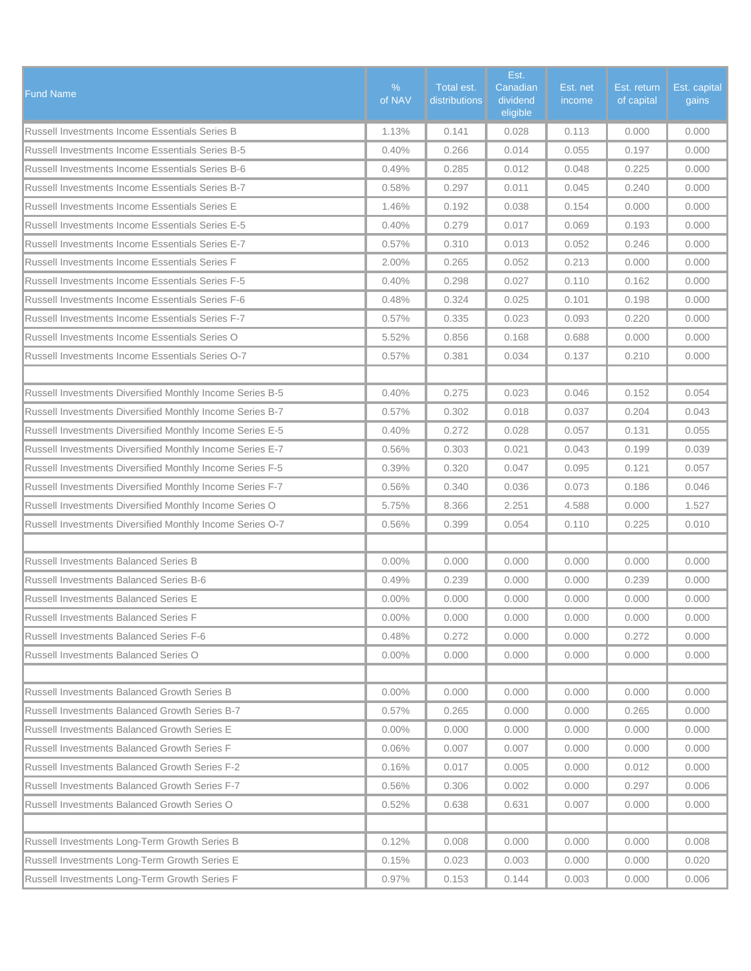| <b>Fund Name</b>                                          | $\%$<br>of NAV | Total est.<br>distributions | Est.<br>Canadian<br>dividend<br>eligible | Est. net<br>income | Est. return<br>of capital | Est. capital<br>gains |
|-----------------------------------------------------------|----------------|-----------------------------|------------------------------------------|--------------------|---------------------------|-----------------------|
| Russell Investments Income Essentials Series B            | 1.13%          | 0.141                       | 0.028                                    | 0.113              | 0.000                     | 0.000                 |
| Russell Investments Income Essentials Series B-5          | 0.40%          | 0.266                       | 0.014                                    | 0.055              | 0.197                     | 0.000                 |
| <b>Russell Investments Income Essentials Series B-6</b>   | 0.49%          | 0.285                       | 0.012                                    | 0.048              | 0.225                     | 0.000                 |
| <b>Russell Investments Income Essentials Series B-7</b>   | 0.58%          | 0.297                       | 0.011                                    | 0.045              | 0.240                     | 0.000                 |
| Russell Investments Income Essentials Series E            | 1.46%          | 0.192                       | 0.038                                    | 0.154              | 0.000                     | 0.000                 |
| Russell Investments Income Essentials Series E-5          | 0.40%          | 0.279                       | 0.017                                    | 0.069              | 0.193                     | 0.000                 |
| Russell Investments Income Essentials Series E-7          | 0.57%          | 0.310                       | 0.013                                    | 0.052              | 0.246                     | 0.000                 |
| Russell Investments Income Essentials Series F            | 2.00%          | 0.265                       | 0.052                                    | 0.213              | 0.000                     | 0.000                 |
| <b>Russell Investments Income Essentials Series F-5</b>   | 0.40%          | 0.298                       | 0.027                                    | 0.110              | 0.162                     | 0.000                 |
| <b>Russell Investments Income Essentials Series F-6</b>   | 0.48%          | 0.324                       | 0.025                                    | 0.101              | 0.198                     | 0.000                 |
| Russell Investments Income Essentials Series F-7          | 0.57%          | 0.335                       | 0.023                                    | 0.093              | 0.220                     | 0.000                 |
| Russell Investments Income Essentials Series O            | 5.52%          | 0.856                       | 0.168                                    | 0.688              | 0.000                     | 0.000                 |
| Russell Investments Income Essentials Series O-7          | 0.57%          | 0.381                       | 0.034                                    | 0.137              | 0.210                     | 0.000                 |
|                                                           |                |                             |                                          |                    |                           |                       |
| Russell Investments Diversified Monthly Income Series B-5 | 0.40%          | 0.275                       | 0.023                                    | 0.046              | 0.152                     | 0.054                 |
| Russell Investments Diversified Monthly Income Series B-7 | 0.57%          | 0.302                       | 0.018                                    | 0.037              | 0.204                     | 0.043                 |
| Russell Investments Diversified Monthly Income Series E-5 | 0.40%          | 0.272                       | 0.028                                    | 0.057              | 0.131                     | 0.055                 |
| Russell Investments Diversified Monthly Income Series E-7 | 0.56%          | 0.303                       | 0.021                                    | 0.043              | 0.199                     | 0.039                 |
| Russell Investments Diversified Monthly Income Series F-5 | 0.39%          | 0.320                       | 0.047                                    | 0.095              | 0.121                     | 0.057                 |
| Russell Investments Diversified Monthly Income Series F-7 | 0.56%          | 0.340                       | 0.036                                    | 0.073              | 0.186                     | 0.046                 |
| Russell Investments Diversified Monthly Income Series O   | 5.75%          | 8.366                       | 2.251                                    | 4.588              | 0.000                     | 1.527                 |
| Russell Investments Diversified Monthly Income Series O-7 | 0.56%          | 0.399                       | 0.054                                    | 0.110              | 0.225                     | 0.010                 |
|                                                           |                |                             |                                          |                    |                           |                       |
| Russell Investments Balanced Series B                     | $0.00\%$       | 0.000                       | 0.000                                    | 0.000              | 0.000                     | 0.000                 |
| Russell Investments Balanced Series B-6                   | 0.49%          | 0.239                       | 0.000                                    | 0.000              | 0.239                     | 0.000                 |
| <b>Russell Investments Balanced Series E</b>              | $0.00\%$       | 0.000                       | 0.000                                    | 0.000              | 0.000                     | 0.000                 |
| Russell Investments Balanced Series F                     | $0.00\%$       | 0.000                       | 0.000                                    | 0.000              | 0.000                     | 0.000                 |
| Russell Investments Balanced Series F-6                   | 0.48%          | 0.272                       | 0.000                                    | 0.000              | 0.272                     | 0.000                 |
| Russell Investments Balanced Series O                     | $0.00\%$       | 0.000                       | 0.000                                    | 0.000              | 0.000                     | 0.000                 |
|                                                           |                |                             |                                          |                    |                           |                       |
| Russell Investments Balanced Growth Series B              | $0.00\%$       | 0.000                       | 0.000                                    | 0.000              | 0.000                     | 0.000                 |
| Russell Investments Balanced Growth Series B-7            | 0.57%          | 0.265                       | 0.000                                    | 0.000              | 0.265                     | 0.000                 |
| Russell Investments Balanced Growth Series E              | $0.00\%$       | 0.000                       | 0.000                                    | 0.000              | 0.000                     | 0.000                 |
| Russell Investments Balanced Growth Series F              | 0.06%          | 0.007                       | 0.007                                    | 0.000              | 0.000                     | 0.000                 |
| <b>Russell Investments Balanced Growth Series F-2</b>     | 0.16%          | 0.017                       | 0.005                                    | 0.000              | 0.012                     | 0.000                 |
| Russell Investments Balanced Growth Series F-7            | 0.56%          | 0.306                       | 0.002                                    | 0.000              | 0.297                     | 0.006                 |
| Russell Investments Balanced Growth Series O              | 0.52%          | 0.638                       | 0.631                                    | 0.007              | 0.000                     | 0.000                 |
|                                                           |                |                             |                                          |                    |                           |                       |
| Russell Investments Long-Term Growth Series B             | 0.12%          | 0.008                       | 0.000                                    | 0.000              | 0.000                     | 0.008                 |
| Russell Investments Long-Term Growth Series E             | 0.15%          | 0.023                       | 0.003                                    | 0.000              | 0.000                     | 0.020                 |
| Russell Investments Long-Term Growth Series F             | 0.97%          | 0.153                       | 0.144                                    | 0.003              | 0.000                     | 0.006                 |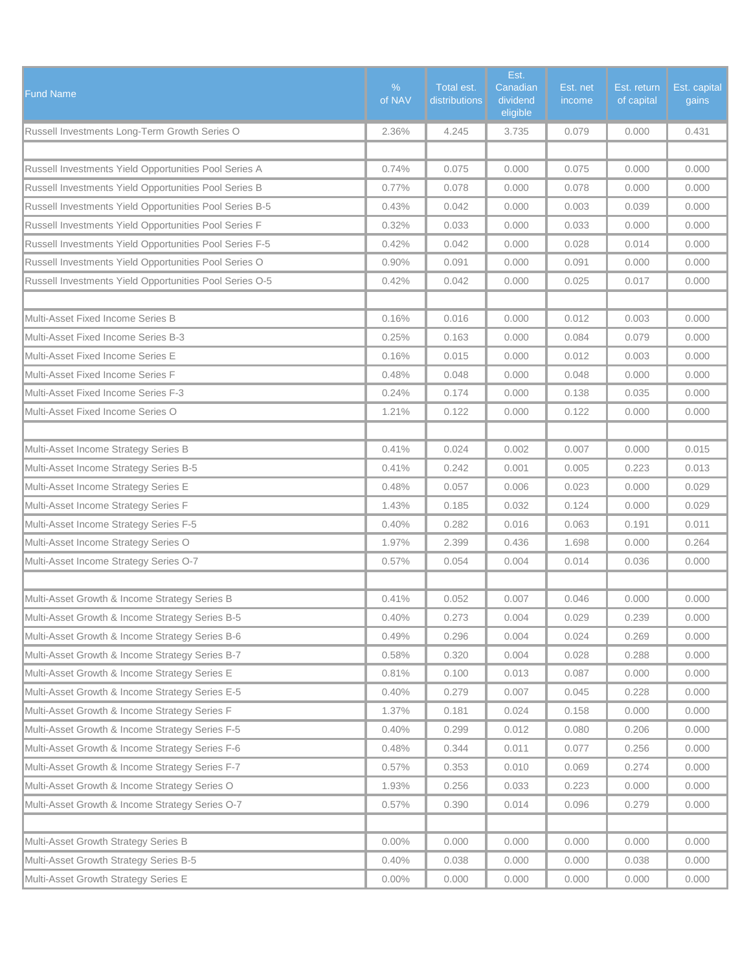| <b>Fund Name</b>                                        | $\%$<br>of NAV | Total est.<br>distributions | Est.<br>Canadian<br>dividend<br>eligible | Est. net<br>income | Est. return<br>of capital | Est. capital<br>gains |
|---------------------------------------------------------|----------------|-----------------------------|------------------------------------------|--------------------|---------------------------|-----------------------|
| Russell Investments Long-Term Growth Series O           | 2.36%          | 4.245                       | 3.735                                    | 0.079              | 0.000                     | 0.431                 |
|                                                         |                |                             |                                          |                    |                           |                       |
| Russell Investments Yield Opportunities Pool Series A   | 0.74%          | 0.075                       | 0.000                                    | 0.075              | 0.000                     | 0.000                 |
| Russell Investments Yield Opportunities Pool Series B   | 0.77%          | 0.078                       | 0.000                                    | 0.078              | 0.000                     | 0.000                 |
| Russell Investments Yield Opportunities Pool Series B-5 | 0.43%          | 0.042                       | 0.000                                    | 0.003              | 0.039                     | 0.000                 |
| Russell Investments Yield Opportunities Pool Series F   | 0.32%          | 0.033                       | 0.000                                    | 0.033              | 0.000                     | 0.000                 |
| Russell Investments Yield Opportunities Pool Series F-5 | 0.42%          | 0.042                       | 0.000                                    | 0.028              | 0.014                     | 0.000                 |
| Russell Investments Yield Opportunities Pool Series O   | 0.90%          | 0.091                       | 0.000                                    | 0.091              | 0.000                     | 0.000                 |
| Russell Investments Yield Opportunities Pool Series O-5 | 0.42%          | 0.042                       | 0.000                                    | 0.025              | 0.017                     | 0.000                 |
|                                                         |                |                             |                                          |                    |                           |                       |
| <b>Multi-Asset Fixed Income Series B</b>                | 0.16%          | 0.016                       | 0.000                                    | 0.012              | 0.003                     | 0.000                 |
| Multi-Asset Fixed Income Series B-3                     | 0.25%          | 0.163                       | 0.000                                    | 0.084              | 0.079                     | 0.000                 |
| Multi-Asset Fixed Income Series E                       | 0.16%          | 0.015                       | 0.000                                    | 0.012              | 0.003                     | 0.000                 |
| Multi-Asset Fixed Income Series F                       | 0.48%          | 0.048                       | 0.000                                    | 0.048              | 0.000                     | 0.000                 |
| Multi-Asset Fixed Income Series F-3                     | 0.24%          | 0.174                       | 0.000                                    | 0.138              | 0.035                     | 0.000                 |
| Multi-Asset Fixed Income Series O                       | 1.21%          | 0.122                       | 0.000                                    | 0.122              | 0.000                     | 0.000                 |
|                                                         |                |                             |                                          |                    |                           |                       |
| Multi-Asset Income Strategy Series B                    | 0.41%          | 0.024                       | 0.002                                    | 0.007              | 0.000                     | 0.015                 |
| Multi-Asset Income Strategy Series B-5                  | 0.41%          | 0.242                       | 0.001                                    | 0.005              | 0.223                     | 0.013                 |
| Multi-Asset Income Strategy Series E                    | 0.48%          | 0.057                       | 0.006                                    | 0.023              | 0.000                     | 0.029                 |
| Multi-Asset Income Strategy Series F                    | 1.43%          | 0.185                       | 0.032                                    | 0.124              | 0.000                     | 0.029                 |
| Multi-Asset Income Strategy Series F-5                  | 0.40%          | 0.282                       | 0.016                                    | 0.063              | 0.191                     | 0.011                 |
| Multi-Asset Income Strategy Series O                    | 1.97%          | 2.399                       | 0.436                                    | 1.698              | 0.000                     | 0.264                 |
| Multi-Asset Income Strategy Series O-7                  | 0.57%          | 0.054                       | 0.004                                    | 0.014              | 0.036                     | 0.000                 |
|                                                         |                |                             |                                          |                    |                           |                       |
| Multi-Asset Growth & Income Strategy Series B           | 0.41%          | 0.052                       | 0.007                                    | 0.046              | 0.000                     | 0.000                 |
| Multi-Asset Growth & Income Strategy Series B-5         | 0.40%          | 0.273                       | 0.004                                    | 0.029              | 0.239                     | 0.000                 |
| Multi-Asset Growth & Income Strategy Series B-6         | 0.49%          | 0.296                       | 0.004                                    | 0.024              | 0.269                     | 0.000                 |
| Multi-Asset Growth & Income Strategy Series B-7         | 0.58%          | 0.320                       | 0.004                                    | 0.028              | 0.288                     | 0.000                 |
| Multi-Asset Growth & Income Strategy Series E           | 0.81%          | 0.100                       | 0.013                                    | 0.087              | 0.000                     | 0.000                 |
| Multi-Asset Growth & Income Strategy Series E-5         | 0.40%          | 0.279                       | 0.007                                    | 0.045              | 0.228                     | 0.000                 |
| Multi-Asset Growth & Income Strategy Series F           | 1.37%          | 0.181                       | 0.024                                    | 0.158              | 0.000                     | 0.000                 |
| Multi-Asset Growth & Income Strategy Series F-5         | 0.40%          | 0.299                       | 0.012                                    | 0.080              | 0.206                     | 0.000                 |
| Multi-Asset Growth & Income Strategy Series F-6         | 0.48%          | 0.344                       | 0.011                                    | 0.077              | 0.256                     | 0.000                 |
| Multi-Asset Growth & Income Strategy Series F-7         | 0.57%          | 0.353                       | 0.010                                    | 0.069              | 0.274                     | 0.000                 |
| Multi-Asset Growth & Income Strategy Series O           | 1.93%          | 0.256                       | 0.033                                    | 0.223              | 0.000                     | 0.000                 |
| Multi-Asset Growth & Income Strategy Series O-7         | 0.57%          | 0.390                       | 0.014                                    | 0.096              | 0.279                     | 0.000                 |
|                                                         |                |                             |                                          |                    |                           |                       |
| Multi-Asset Growth Strategy Series B                    | $0.00\%$       | 0.000                       | 0.000                                    | 0.000              | 0.000                     | 0.000                 |
| Multi-Asset Growth Strategy Series B-5                  | 0.40%          | 0.038                       | 0.000                                    | 0.000              | 0.038                     | 0.000                 |
| Multi-Asset Growth Strategy Series E                    | $0.00\%$       | 0.000                       | 0.000                                    | 0.000              | 0.000                     | 0.000                 |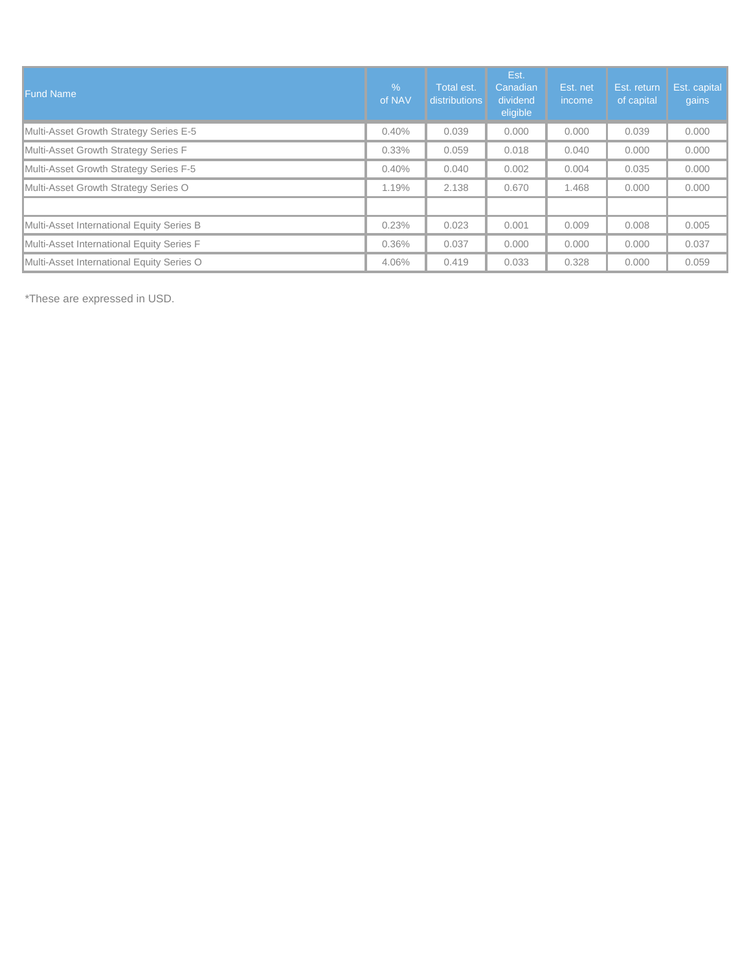| <b>Fund Name</b>                          | $\%$<br>of NAV | Total est.<br><b>distributions</b> | Est.<br>Canadian<br>dividend<br>eligible | Est. net<br>income | Est. return<br>of capital | Est. capital<br>gains |
|-------------------------------------------|----------------|------------------------------------|------------------------------------------|--------------------|---------------------------|-----------------------|
| Multi-Asset Growth Strategy Series E-5    | 0.40%          | 0.039                              | 0.000                                    | 0.000              | 0.039                     | 0.000                 |
| Multi-Asset Growth Strategy Series F      | $0.33\%$       | 0.059                              | 0.018                                    | 0.040              | 0.000                     | 0.000                 |
| Multi-Asset Growth Strategy Series F-5    | 0.40%          | 0.040                              | 0.002                                    | 0.004              | 0.035                     | 0.000                 |
| Multi-Asset Growth Strategy Series O      | 1.19%          | 2.138                              | 0.670                                    | 1.468              | 0.000                     | 0.000                 |
|                                           |                |                                    |                                          |                    |                           |                       |
| Multi-Asset International Equity Series B | 0.23%          | 0.023                              | 0.001                                    | 0.009              | 0.008                     | 0.005                 |
| Multi-Asset International Equity Series F | $0.36\%$       | 0.037                              | 0.000                                    | 0.000              | 0.000                     | 0.037                 |
| Multi-Asset International Equity Series O | 4.06%          | 0.419                              | 0.033                                    | 0.328              | 0.000                     | 0.059                 |

\*These are expressed in USD.